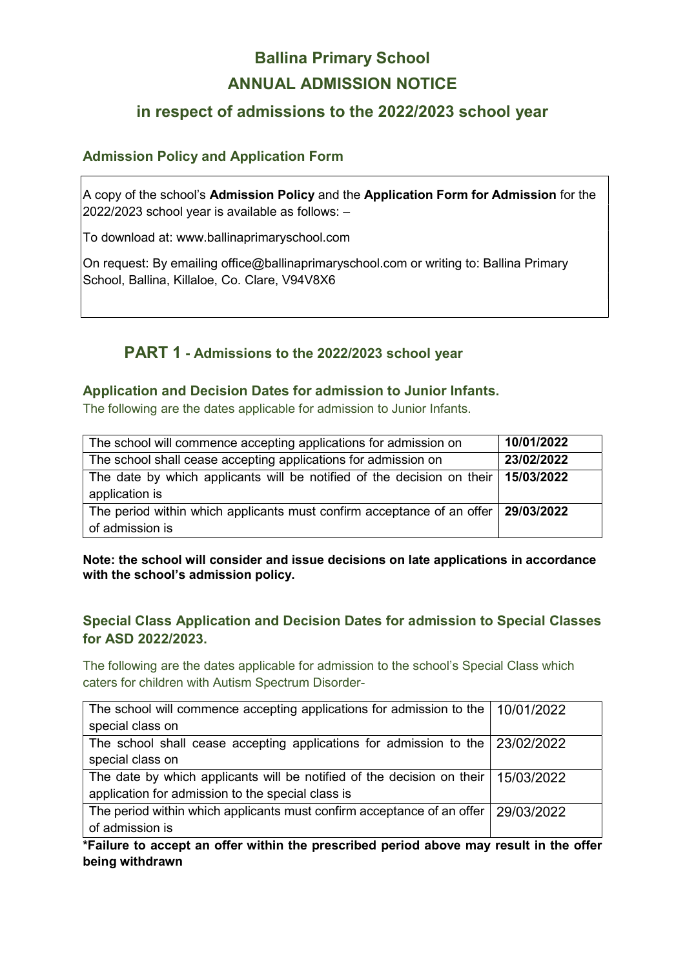# Ballina Primary School ANNUAL ADMISSION NOTICE

# in respect of admissions to the 2022/2023 school year

## Admission Policy and Application Form

A copy of the school's Admission Policy and the Application Form for Admission for the 2022/2023 school year is available as follows: –

To download at: www.ballinaprimaryschool.com

On request: By emailing office@ballinaprimaryschool.com or writing to: Ballina Primary School, Ballina, Killaloe, Co. Clare, V94V8X6

# PART 1 - Admissions to the 2022/2023 school year

#### Application and Decision Dates for admission to Junior Infants.

The following are the dates applicable for admission to Junior Infants.

| The school will commence accepting applications for admission on                                     | 10/01/2022 |
|------------------------------------------------------------------------------------------------------|------------|
| The school shall cease accepting applications for admission on                                       | 23/02/2022 |
| The date by which applicants will be notified of the decision on their<br>application is             | 15/03/2022 |
| The period within which applicants must confirm acceptance of an offer 29/03/2022<br>of admission is |            |

Note: the school will consider and issue decisions on late applications in accordance with the school's admission policy.

## Special Class Application and Decision Dates for admission to Special Classes for ASD 2022/2023.

The following are the dates applicable for admission to the school's Special Class which caters for children with Autism Spectrum Disorder-

| The school will commence accepting applications for admission to the $\mid$ 10/01/2022   |  |
|------------------------------------------------------------------------------------------|--|
| special class on                                                                         |  |
| The school shall cease accepting applications for admission to the   23/02/2022          |  |
| special class on                                                                         |  |
| The date by which applicants will be notified of the decision on their $\mid$ 15/03/2022 |  |
| application for admission to the special class is                                        |  |
| The period within which applicants must confirm acceptance of an offer 29/03/2022        |  |
| of admission is                                                                          |  |

\*Failure to accept an offer within the prescribed period above may result in the offer being withdrawn